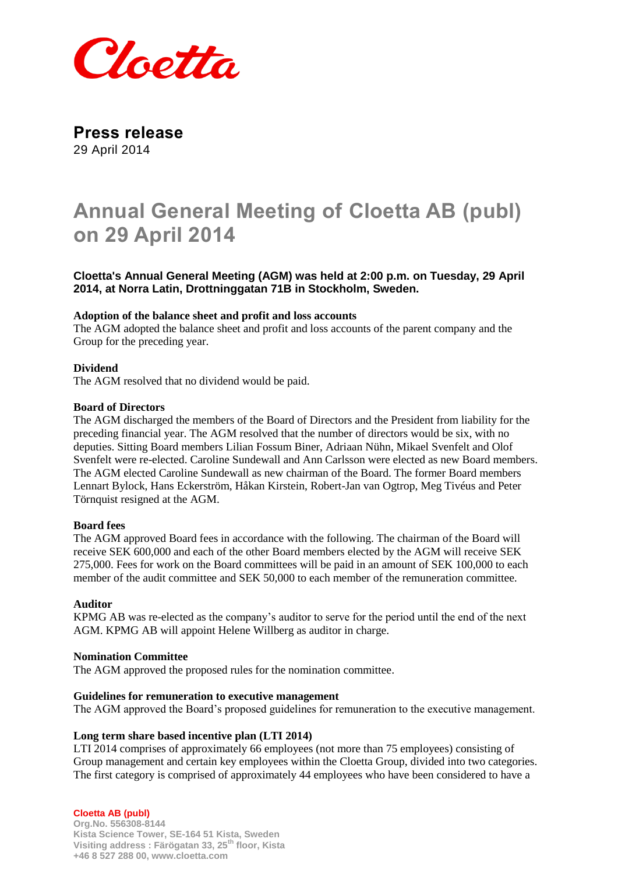

**Press release** 29 April 2014

# **Annual General Meeting of Cloetta AB (publ) on 29 April 2014**

**Cloetta's Annual General Meeting (AGM) was held at 2:00 p.m. on Tuesday, 29 April 2014, at Norra Latin, Drottninggatan 71B in Stockholm, Sweden.**

### **Adoption of the balance sheet and profit and loss accounts**

The AGM adopted the balance sheet and profit and loss accounts of the parent company and the Group for the preceding year.

## **Dividend**

The AGM resolved that no dividend would be paid.

#### **Board of Directors**

The AGM discharged the members of the Board of Directors and the President from liability for the preceding financial year. The AGM resolved that the number of directors would be six, with no deputies. Sitting Board members Lilian Fossum Biner, Adriaan Nühn, Mikael Svenfelt and Olof Svenfelt were re-elected. Caroline Sundewall and Ann Carlsson were elected as new Board members. The AGM elected Caroline Sundewall as new chairman of the Board. The former Board members Lennart Bylock, Hans Eckerström, Håkan Kirstein, Robert-Jan van Ogtrop, Meg Tivéus and Peter Törnquist resigned at the AGM.

#### **Board fees**

The AGM approved Board fees in accordance with the following. The chairman of the Board will receive SEK 600,000 and each of the other Board members elected by the AGM will receive SEK 275,000. Fees for work on the Board committees will be paid in an amount of SEK 100,000 to each member of the audit committee and SEK 50,000 to each member of the remuneration committee.

#### **Auditor**

KPMG AB was re-elected as the company's auditor to serve for the period until the end of the next AGM. KPMG AB will appoint Helene Willberg as auditor in charge.

#### **Nomination Committee**

The AGM approved the proposed rules for the nomination committee.

#### **Guidelines for remuneration to executive management**

The AGM approved the Board's proposed guidelines for remuneration to the executive management.

#### **Long term share based incentive plan (LTI 2014)**

LTI 2014 comprises of approximately 66 employees (not more than 75 employees) consisting of Group management and certain key employees within the Cloetta Group, divided into two categories. The first category is comprised of approximately 44 employees who have been considered to have a

**Cloetta AB (publ) Org.No. 556308-8144 Kista Science Tower, SE-164 51 Kista, Sweden Visiting address : Färögatan 33, 25th floor, Kista +46 8 527 288 00, www.cloetta.com**